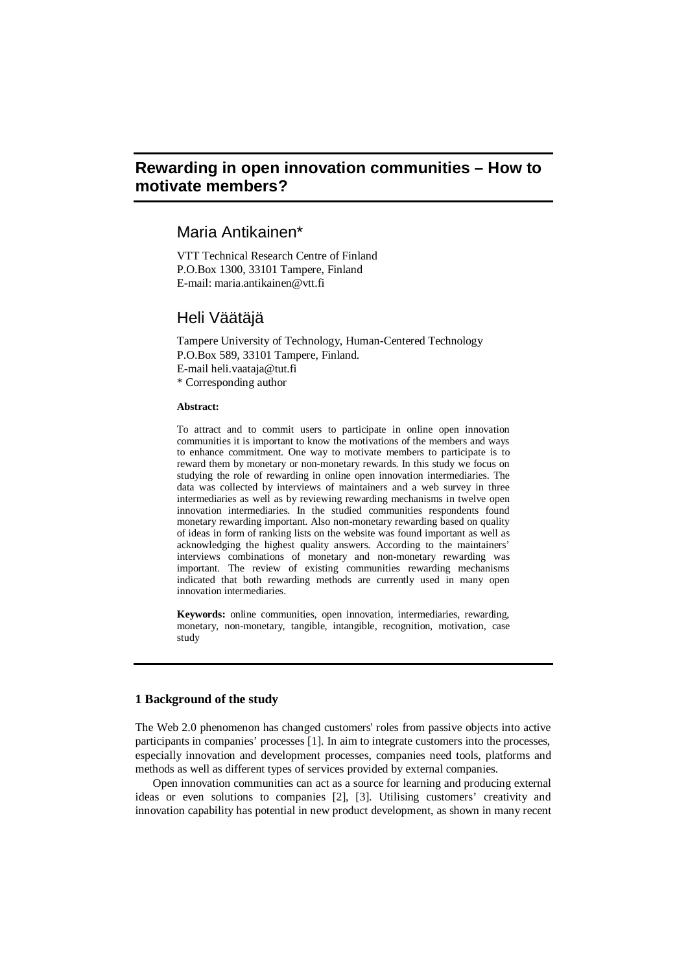# **Rewarding in open innovation communities – How to motivate members?**

## Maria Antikainen\*

VTT Technical Research Centre of Finland P.O.Box 1300, 33101 Tampere, Finland E-mail: [maria.antikainen@vtt.fi](mailto:maria.antikainen@vtt.fi)

## Heli Väätäjä

Tampere University of Technology, Human-Centered Technology P.O.Box 589, 33101 Tampere, Finland.

E-mail [heli.vaataja@tut.fi](mailto:heli.vaataja@tut.fi)

\* Corresponding author

## **Abstract:**

To attract and to commit users to participate in online open innovation communities it is important to know the motivations of the members and ways to enhance commitment. One way to motivate members to participate is to reward them by monetary or non-monetary rewards. In this study we focus on studying the role of rewarding in online open innovation intermediaries. The data was collected by interviews of maintainers and a web survey in three intermediaries as well as by reviewing rewarding mechanisms in twelve open innovation intermediaries. In the studied communities respondents found monetary rewarding important. Also non-monetary rewarding based on quality of ideas in form of ranking lists on the website was found important as well as acknowledging the highest quality answers. According to the maintainers' interviews combinations of monetary and non-monetary rewarding was important. The review of existing communities rewarding mechanisms indicated that both rewarding methods are currently used in many open innovation intermediaries.

**Keywords:** online communities, open innovation, intermediaries, rewarding, monetary, non-monetary, tangible, intangible, recognition, motivation, case study

### **1 Background of the study**

The Web 2.0 phenomenon has changed customers' roles from passive objects into active participants in companies' processes [1]. In aim to integrate customers into the processes, especially innovation and development processes, companies need tools, platforms and methods as well as different types of services provided by external companies.

Open innovation communities can act as a source for learning and producing external ideas or even solutions to companies [2], [3]. Utilising customers' creativity and innovation capability has potential in new product development, as shown in many recent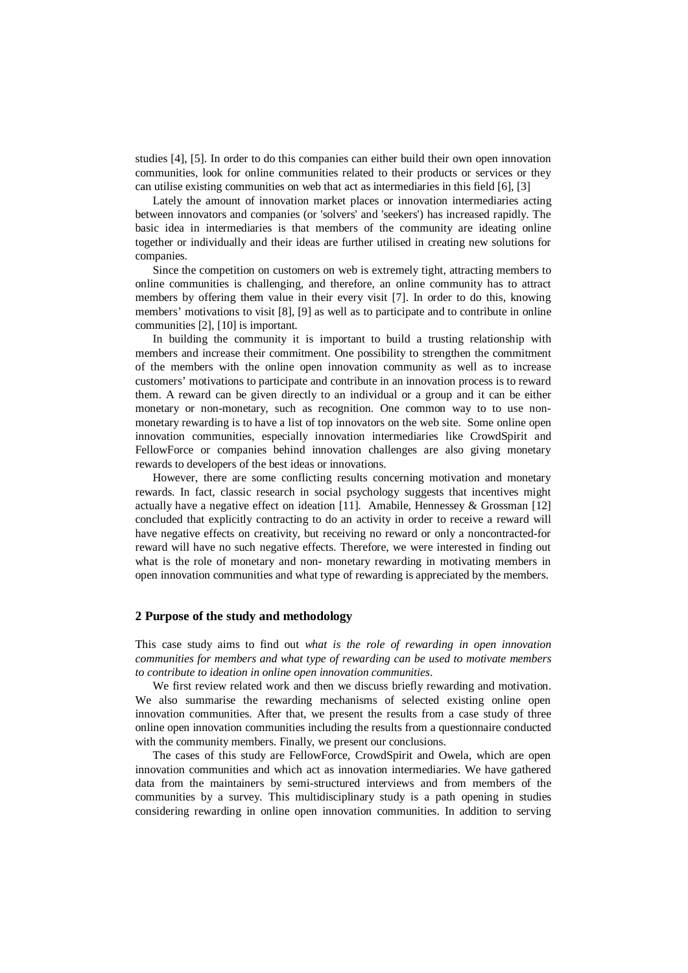studies [4], [5]. In order to do this companies can either build their own open innovation communities, look for online communities related to their products or services or they can utilise existing communities on web that act as intermediaries in this field [6], [3]

Lately the amount of innovation market places or innovation intermediaries acting between innovators and companies (or 'solvers' and 'seekers') has increased rapidly. The basic idea in intermediaries is that members of the community are ideating online together or individually and their ideas are further utilised in creating new solutions for companies.

Since the competition on customers on web is extremely tight, attracting members to online communities is challenging, and therefore, an online community has to attract members by offering them value in their every visit [7]. In order to do this, knowing members' motivations to visit [8], [9] as well as to participate and to contribute in online communities [2], [10] is important.

In building the community it is important to build a trusting relationship with members and increase their commitment. One possibility to strengthen the commitment of the members with the online open innovation community as well as to increase customers' motivations to participate and contribute in an innovation process is to reward them. A reward can be given directly to an individual or a group and it can be either monetary or non-monetary, such as recognition. One common way to to use nonmonetary rewarding is to have a list of top innovators on the web site. Some online open innovation communities, especially innovation intermediaries like CrowdSpirit and FellowForce or companies behind innovation challenges are also giving monetary rewards to developers of the best ideas or innovations.

However, there are some conflicting results concerning motivation and monetary rewards. In fact, classic research in social psychology suggests that incentives might actually have a negative effect on ideation [11]. Amabile, Hennessey  $\&$  Grossman [12] concluded that explicitly contracting to do an activity in order to receive a reward will have negative effects on creativity, but receiving no reward or only a noncontracted-for reward will have no such negative effects. Therefore, we were interested in finding out what is the role of monetary and non- monetary rewarding in motivating members in open innovation communities and what type of rewarding is appreciated by the members.

## **2 Purpose of the study and methodology**

This case study aims to find out *what is the role of rewarding in open innovation communities for members and what type of rewarding can be used to motivate members to contribute to ideation in online open innovation communities*.

We first review related work and then we discuss briefly rewarding and motivation. We also summarise the rewarding mechanisms of selected existing online open innovation communities. After that, we present the results from a case study of three online open innovation communities including the results from a questionnaire conducted with the community members. Finally, we present our conclusions.

The cases of this study are FellowForce, CrowdSpirit and Owela, which are open innovation communities and which act as innovation intermediaries. We have gathered data from the maintainers by semi-structured interviews and from members of the communities by a survey. This multidisciplinary study is a path opening in studies considering rewarding in online open innovation communities. In addition to serving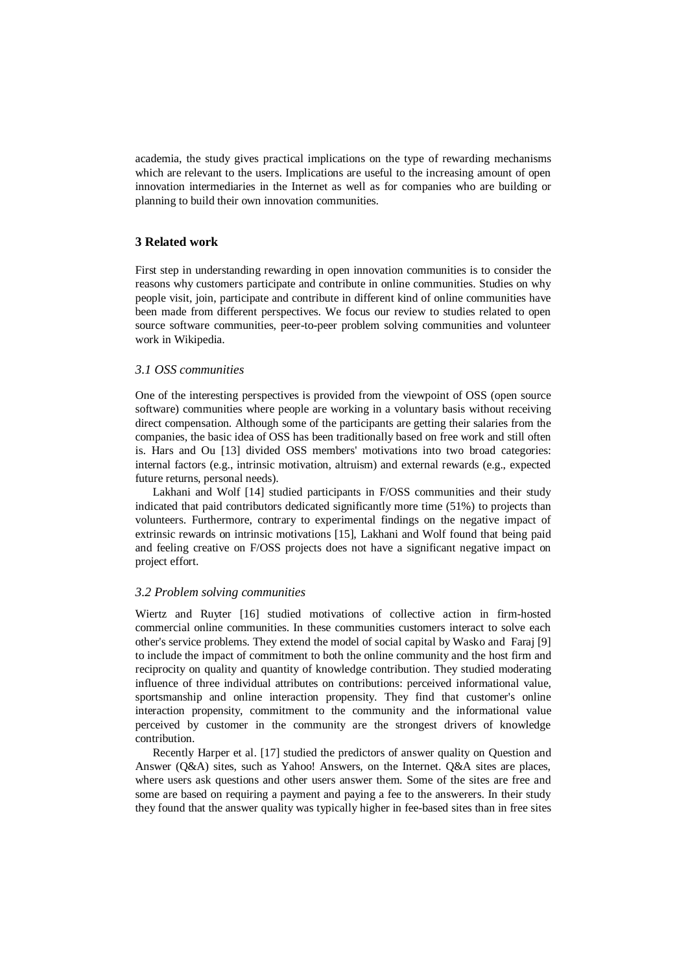academia, the study gives practical implications on the type of rewarding mechanisms which are relevant to the users. Implications are useful to the increasing amount of open innovation intermediaries in the Internet as well as for companies who are building or planning to build their own innovation communities.

## **3 Related work**

First step in understanding rewarding in open innovation communities is to consider the reasons why customers participate and contribute in online communities. Studies on why people visit, join, participate and contribute in different kind of online communities have been made from different perspectives. We focus our review to studies related to open source software communities, peer-to-peer problem solving communities and volunteer work in Wikipedia.

## *3.1 OSS communities*

One of the interesting perspectives is provided from the viewpoint of OSS (open source software) communities where people are working in a voluntary basis without receiving direct compensation. Although some of the participants are getting their salaries from the companies, the basic idea of OSS has been traditionally based on free work and still often is. Hars and Ou [13] divided OSS members' motivations into two broad categories: internal factors (e.g., intrinsic motivation, altruism) and external rewards (e.g., expected future returns, personal needs).

Lakhani and Wolf [14] studied participants in F/OSS communities and their study indicated that paid contributors dedicated significantly more time (51%) to projects than volunteers. Furthermore, contrary to experimental findings on the negative impact of extrinsic rewards on intrinsic motivations [15], Lakhani and Wolf found that being paid and feeling creative on F/OSS projects does not have a significant negative impact on project effort.

## *3.2 Problem solving communities*

Wiertz and Ruyter [16] studied motivations of collective action in firm-hosted commercial online communities. In these communities customers interact to solve each other's service problems. They extend the model of social capital by Wasko and Faraj [9] to include the impact of commitment to both the online community and the host firm and reciprocity on quality and quantity of knowledge contribution. They studied moderating influence of three individual attributes on contributions: perceived informational value, sportsmanship and online interaction propensity. They find that customer's online interaction propensity, commitment to the community and the informational value perceived by customer in the community are the strongest drivers of knowledge contribution.

Recently Harper et al. [17] studied the predictors of answer quality on Question and Answer (Q&A) sites, such as Yahoo! Answers, on the Internet. Q&A sites are places, where users ask questions and other users answer them. Some of the sites are free and some are based on requiring a payment and paying a fee to the answerers. In their study they found that the answer quality was typically higher in fee-based sites than in free sites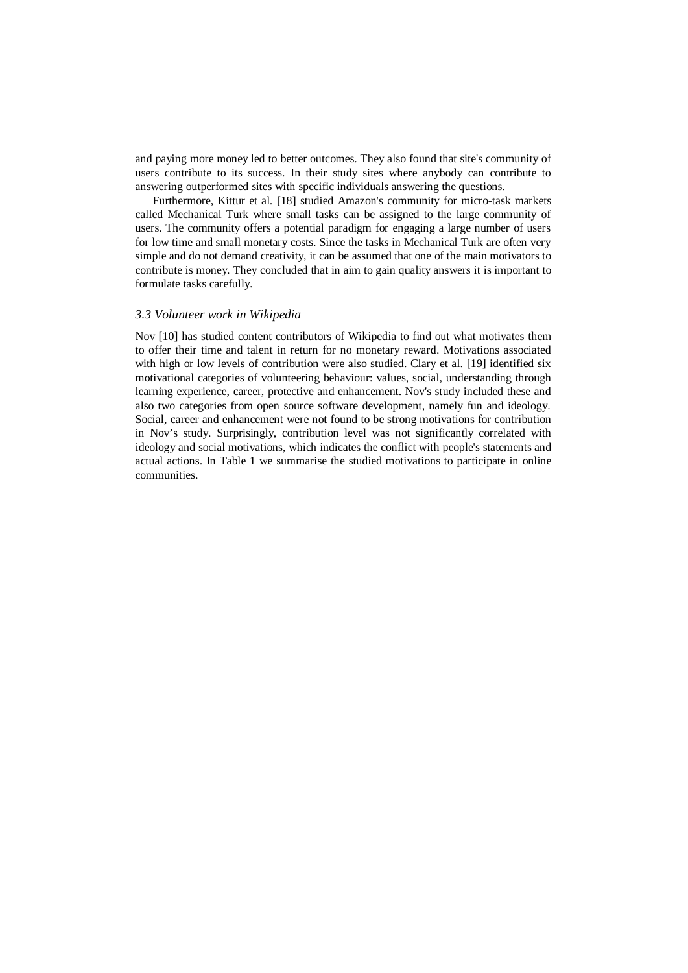and paying more money led to better outcomes. They also found that site's community of users contribute to its success. In their study sites where anybody can contribute to answering outperformed sites with specific individuals answering the questions.

Furthermore, Kittur et al. [18] studied Amazon's community for micro-task markets called Mechanical Turk where small tasks can be assigned to the large community of users. The community offers a potential paradigm for engaging a large number of users for low time and small monetary costs. Since the tasks in Mechanical Turk are often very simple and do not demand creativity, it can be assumed that one of the main motivators to contribute is money. They concluded that in aim to gain quality answers it is important to formulate tasks carefully.

## *3.3 Volunteer work in Wikipedia*

Nov [10] has studied content contributors of Wikipedia to find out what motivates them to offer their time and talent in return for no monetary reward. Motivations associated with high or low levels of contribution were also studied. Clary et al. [19] identified six motivational categories of volunteering behaviour: values, social, understanding through learning experience, career, protective and enhancement. Nov's study included these and also two categories from open source software development, namely fun and ideology. Social, career and enhancement were not found to be strong motivations for contribution in Nov's study. Surprisingly, contribution level was not significantly correlated with ideology and social motivations, which indicates the conflict with people's statements and actual actions. In Table 1 we summarise the studied motivations to participate in online communities.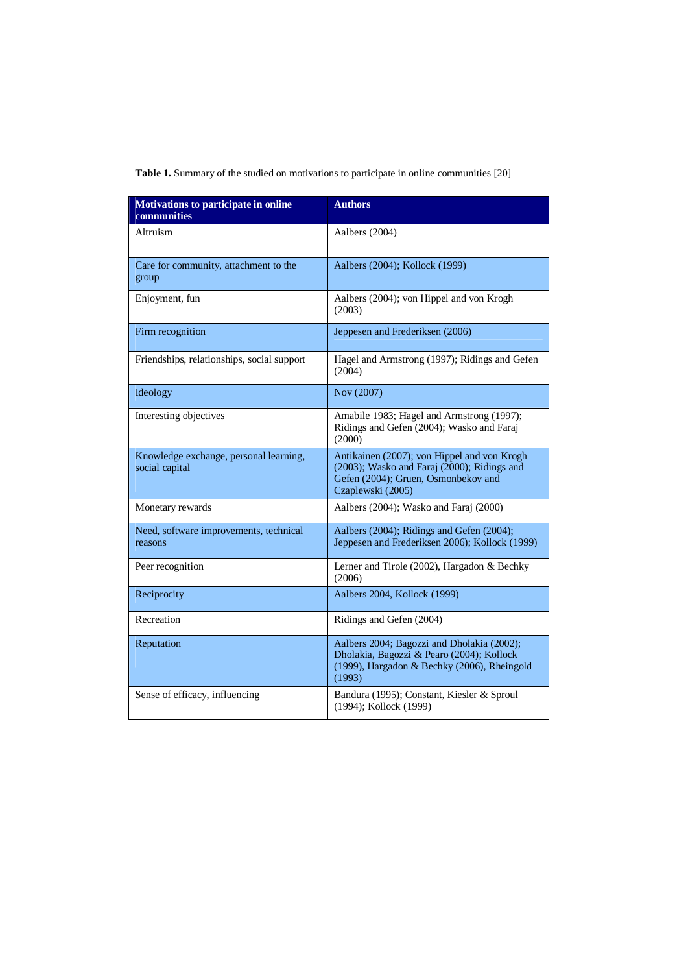| <b>Table 1.</b> Summary of the studied on motivations to participate in online communities [20] |  |
|-------------------------------------------------------------------------------------------------|--|

| <b>Motivations to participate in online</b><br>communities | <b>Authors</b>                                                                                                                                         |
|------------------------------------------------------------|--------------------------------------------------------------------------------------------------------------------------------------------------------|
| Altruism                                                   | Aalbers (2004)                                                                                                                                         |
| Care for community, attachment to the<br>group             | Aalbers (2004); Kollock (1999)                                                                                                                         |
| Enjoyment, fun                                             | Aalbers (2004); von Hippel and von Krogh<br>(2003)                                                                                                     |
| Firm recognition                                           | Jeppesen and Frederiksen (2006)                                                                                                                        |
| Friendships, relationships, social support                 | Hagel and Armstrong (1997); Ridings and Gefen<br>(2004)                                                                                                |
| Ideology                                                   | Nov (2007)                                                                                                                                             |
| Interesting objectives                                     | Amabile 1983; Hagel and Armstrong (1997);<br>Ridings and Gefen (2004); Wasko and Faraj<br>(2000)                                                       |
| Knowledge exchange, personal learning,<br>social capital   | Antikainen (2007); von Hippel and von Krogh<br>(2003); Wasko and Faraj (2000); Ridings and<br>Gefen (2004); Gruen, Osmonbekov and<br>Czaplewski (2005) |
| Monetary rewards                                           | Aalbers (2004); Wasko and Faraj (2000)                                                                                                                 |
| Need, software improvements, technical<br>reasons          | Aalbers (2004); Ridings and Gefen (2004);<br>Jeppesen and Frederiksen 2006); Kollock (1999)                                                            |
| Peer recognition                                           | Lerner and Tirole (2002), Hargadon & Bechky<br>(2006)                                                                                                  |
| Reciprocity                                                | Aalbers 2004, Kollock (1999)                                                                                                                           |
| Recreation                                                 | Ridings and Gefen (2004)                                                                                                                               |
| Reputation                                                 | Aalbers 2004; Bagozzi and Dholakia (2002);<br>Dholakia, Bagozzi & Pearo (2004); Kollock<br>(1999), Hargadon & Bechky (2006), Rheingold<br>(1993)       |
| Sense of efficacy, influencing                             | Bandura (1995); Constant, Kiesler & Sproul<br>(1994); Kollock (1999)                                                                                   |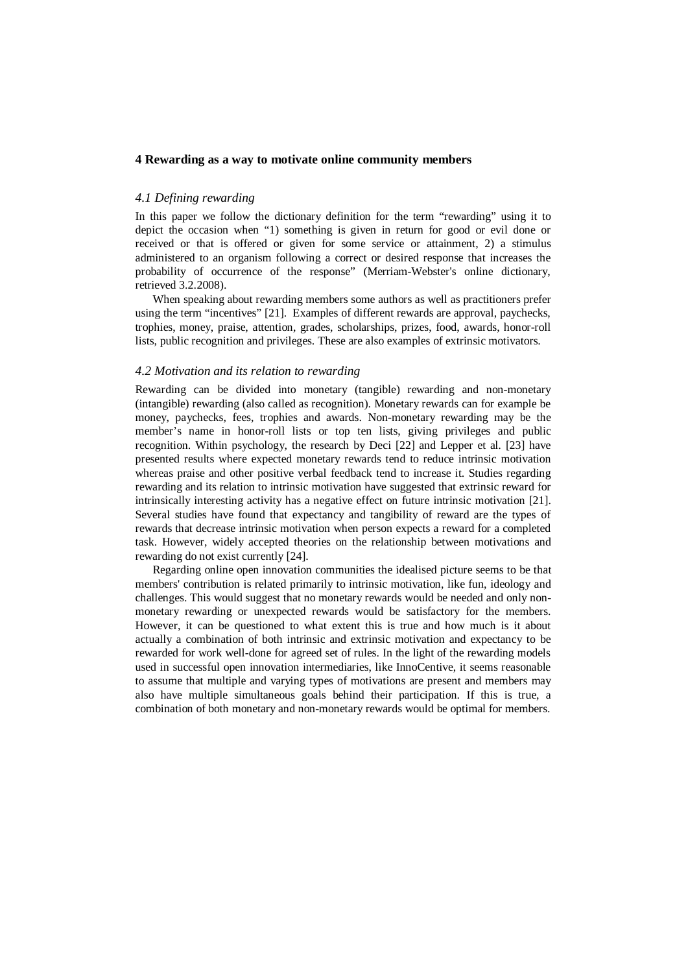## **4 Rewarding as a way to motivate online community members**

## *4.1 Defining rewarding*

In this paper we follow the dictionary definition for the term "rewarding" using it to depict the occasion when "1) something is given in return for good or evil done or received or that is offered or given for some service or attainment, 2) a stimulus administered to an organism following a correct or desired response that increases the probability of occurrence of the response" (Merriam-Webster's online dictionary, retrieved 3.2.2008).

When speaking about rewarding members some authors as well as practitioners prefer using the term "incentives" [21]. Examples of different rewards are approval, paychecks, trophies, money, praise, attention, grades, scholarships, prizes, food, awards, honor-roll lists, public recognition and privileges. These are also examples of extrinsic motivators.

## *4.2 Motivation and its relation to rewarding*

Rewarding can be divided into monetary (tangible) rewarding and non-monetary (intangible) rewarding (also called as recognition). Monetary rewards can for example be money, paychecks, fees, trophies and awards. Non-monetary rewarding may be the member's name in honor-roll lists or top ten lists, giving privileges and public recognition. Within psychology, the research by Deci [22] and Lepper et al. [23] have presented results where expected monetary rewards tend to reduce intrinsic motivation whereas praise and other positive verbal feedback tend to increase it. Studies regarding rewarding and its relation to intrinsic motivation have suggested that extrinsic reward for intrinsically interesting activity has a negative effect on future intrinsic motivation [21]. Several studies have found that expectancy and tangibility of reward are the types of rewards that decrease intrinsic motivation when person expects a reward for a completed task. However, widely accepted theories on the relationship between motivations and rewarding do not exist currently [24].

Regarding online open innovation communities the idealised picture seems to be that members' contribution is related primarily to intrinsic motivation, like fun, ideology and challenges. This would suggest that no monetary rewards would be needed and only nonmonetary rewarding or unexpected rewards would be satisfactory for the members. However, it can be questioned to what extent this is true and how much is it about actually a combination of both intrinsic and extrinsic motivation and expectancy to be rewarded for work well-done for agreed set of rules. In the light of the rewarding models used in successful open innovation intermediaries, like InnoCentive, it seems reasonable to assume that multiple and varying types of motivations are present and members may also have multiple simultaneous goals behind their participation. If this is true, a combination of both monetary and non-monetary rewards would be optimal for members.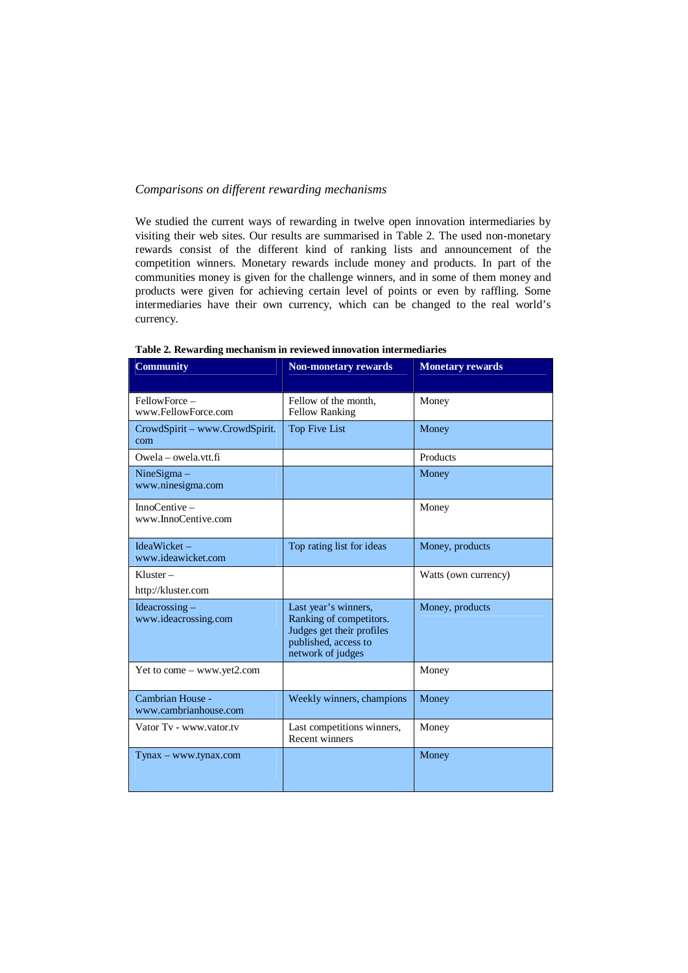## *Comparisons on different rewarding mechanisms*

We studied the current ways of rewarding in twelve open innovation intermediaries by visiting their web sites. Our results are summarised in Table 2. The used non-monetary rewards consist of the different kind of ranking lists and announcement of the competition winners. Monetary rewards include money and products. In part of the communities money is given for the challenge winners, and in some of them money and products were given for achieving certain level of points or even by raffling. Some intermediaries have their own currency, which can be changed to the real world's currency.

| <b>Community</b>                          | <b>Non-monetary rewards</b>                                                                                               | <b>Monetary rewards</b> |
|-------------------------------------------|---------------------------------------------------------------------------------------------------------------------------|-------------------------|
| FellowForce -<br>www.FellowForce.com      | Fellow of the month,<br><b>Fellow Ranking</b>                                                                             | Money                   |
| CrowdSpirit - www.CrowdSpirit.<br>com     | Top Five List                                                                                                             | Money                   |
| $Owela - owela vtt.fi$                    |                                                                                                                           | Products                |
| $NineSigma -$<br>www.ninesigma.com        |                                                                                                                           | Money                   |
| $In noCentive -$<br>www.InnoCentive.com   |                                                                                                                           | Money                   |
| $IdeaWicket -$<br>www.ideawicket.com      | Top rating list for ideas                                                                                                 | Money, products         |
| $Kluster -$<br>http://kluster.com         |                                                                                                                           | Watts (own currency)    |
| Ideacrossing $-$<br>www.ideacrossing.com  | Last year's winners,<br>Ranking of competitors.<br>Judges get their profiles<br>published, access to<br>network of judges | Money, products         |
| Yet to come $-$ www.yet2.com              |                                                                                                                           | Money                   |
| Cambrian House -<br>www.cambrianhouse.com | Weekly winners, champions                                                                                                 | Money                   |
| Vator Tv - www.vator.tv                   | Last competitions winners,<br><b>Recent winners</b>                                                                       | Money                   |
| Tynax - www.tynax.com                     |                                                                                                                           | Money                   |

**Table 2. Rewarding mechanism in reviewed innovation intermediaries**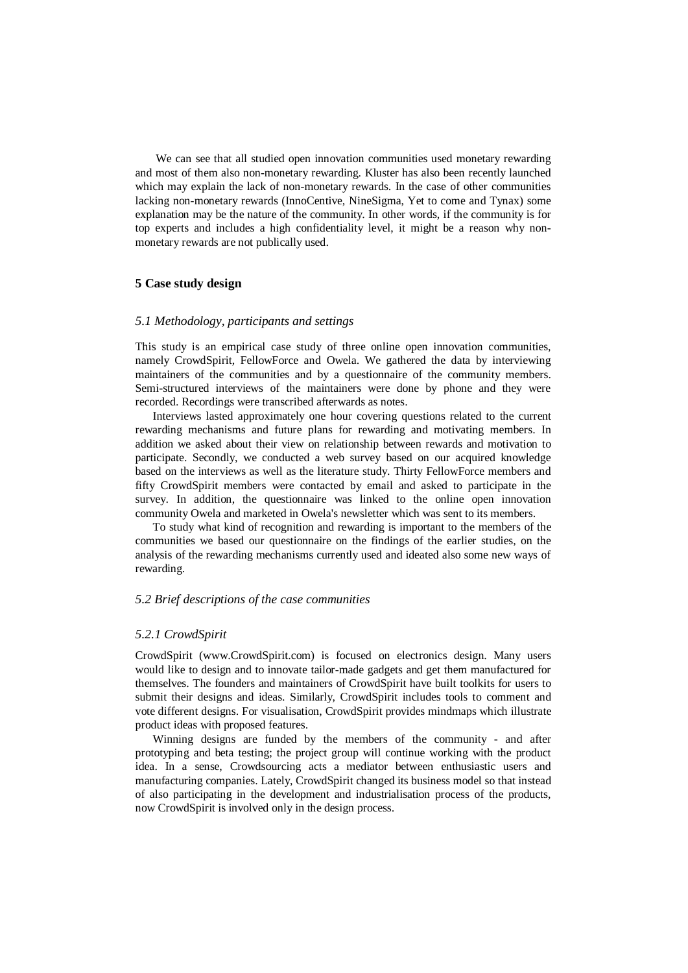We can see that all studied open innovation communities used monetary rewarding and most of them also non-monetary rewarding. Kluster has also been recently launched which may explain the lack of non-monetary rewards. In the case of other communities lacking non-monetary rewards (InnoCentive, NineSigma, Yet to come and Tynax) some explanation may be the nature of the community. In other words, if the community is for top experts and includes a high confidentiality level, it might be a reason why nonmonetary rewards are not publically used.

## **5 Case study design**

## *5.1 Methodology, participants and settings*

This study is an empirical case study of three online open innovation communities, namely CrowdSpirit, FellowForce and Owela. We gathered the data by interviewing maintainers of the communities and by a questionnaire of the community members. Semi-structured interviews of the maintainers were done by phone and they were recorded. Recordings were transcribed afterwards as notes.

Interviews lasted approximately one hour covering questions related to the current rewarding mechanisms and future plans for rewarding and motivating members. In addition we asked about their view on relationship between rewards and motivation to participate. Secondly, we conducted a web survey based on our acquired knowledge based on the interviews as well as the literature study. Thirty FellowForce members and fifty CrowdSpirit members were contacted by email and asked to participate in the survey. In addition, the questionnaire was linked to the online open innovation community Owela and marketed in Owela's newsletter which was sent to its members.

To study what kind of recognition and rewarding is important to the members of the communities we based our questionnaire on the findings of the earlier studies, on the analysis of the rewarding mechanisms currently used and ideated also some new ways of rewarding.

## *5.2 Brief descriptions of the case communities*

#### *5.2.1 CrowdSpirit*

CrowdSpirit ([www.CrowdSpirit.com\)](http://www.CrowdSpirit.com) is focused on electronics design. Many users would like to design and to innovate tailor-made gadgets and get them manufactured for themselves. The founders and maintainers of CrowdSpirit have built toolkits for users to submit their designs and ideas. Similarly, CrowdSpirit includes tools to comment and vote different designs. For visualisation, CrowdSpirit provides mindmaps which illustrate product ideas with proposed features.

Winning designs are funded by the members of the community - and after prototyping and beta testing; the project group will continue working with the product idea. In a sense, Crowdsourcing acts a mediator between enthusiastic users and manufacturing companies. Lately, CrowdSpirit changed its business model so that instead of also participating in the development and industrialisation process of the products, now CrowdSpirit is involved only in the design process.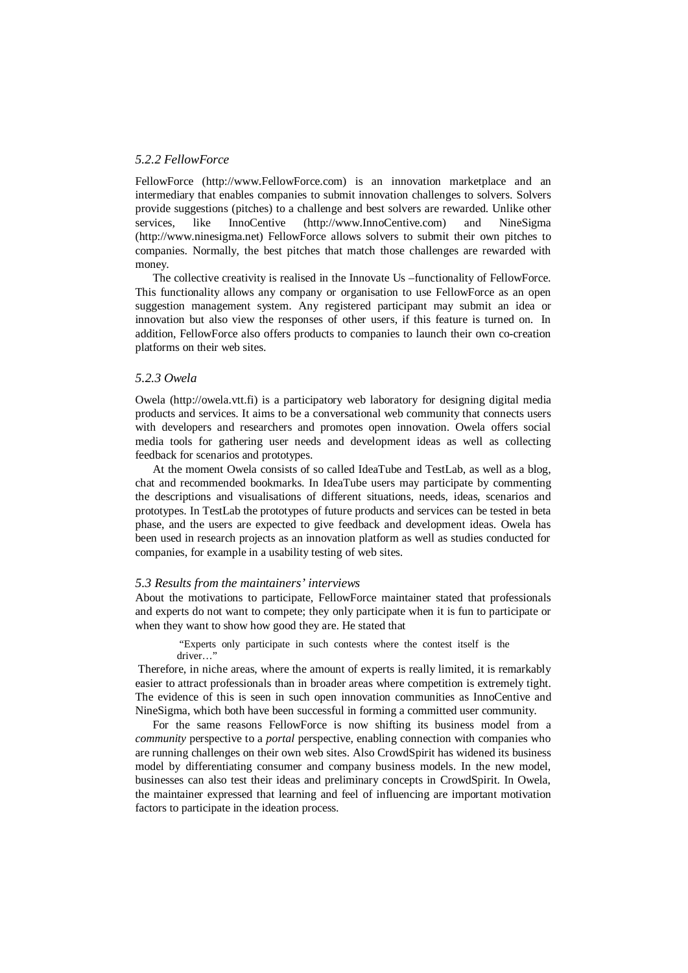## *5.2.2 FellowForce*

FellowForce [\(http://www.FellowForce.com\)](http://www.FellowForce.com) is an innovation marketplace and an intermediary that enables companies to submit innovation challenges to solvers. Solvers provide suggestions (pitches) to a challenge and best solvers are rewarded. Unlike other services, like InnoCentive [\(http://www.InnoCentive.com\)](http://www.InnoCentive.com) and NineSigma [\(http://www.ninesigma.net](http://www.ninesigma.net)) FellowForce allows solvers to submit their own pitches to companies. Normally, the best pitches that match those challenges are rewarded with money.

The collective creativity is realised in the Innovate Us –functionality of FellowForce. This functionality allows any company or organisation to use FellowForce as an open suggestion management system. Any registered participant may submit an idea or innovation but also view the responses of other users, if this feature is turned on. In addition, FellowForce also offers products to companies to launch their own co-creation platforms on their web sites.

## *5.2.3 Owela*

Owela [\(http://owela.vtt.fi\)](http://owela.vtt.fi) is a participatory web laboratory for designing digital media products and services. It aims to be a conversational web community that connects users with developers and researchers and promotes open innovation. Owela offers social media tools for gathering user needs and development ideas as well as collecting feedback for scenarios and prototypes.

At the moment Owela consists of so called IdeaTube and TestLab, as well as a blog, chat and recommended bookmarks. In IdeaTube users may participate by commenting the descriptions and visualisations of different situations, needs, ideas, scenarios and prototypes. In TestLab the prototypes of future products and services can be tested in beta phase, and the users are expected to give feedback and development ideas. Owela has been used in research projects as an innovation platform as well as studies conducted for companies, for example in a usability testing of web sites.

#### *5.3 Results from the maintainers' interviews*

About the motivations to participate, FellowForce maintainer stated that professionals and experts do not want to compete; they only participate when it is fun to participate or when they want to show how good they are. He stated that

#### "Experts only participate in such contests where the contest itself is the driver…"

 Therefore, in niche areas, where the amount of experts is really limited, it is remarkably easier to attract professionals than in broader areas where competition is extremely tight. The evidence of this is seen in such open innovation communities as InnoCentive and NineSigma, which both have been successful in forming a committed user community.

For the same reasons FellowForce is now shifting its business model from a *community* perspective to a *portal* perspective, enabling connection with companies who are running challenges on their own web sites. Also CrowdSpirit has widened its business model by differentiating consumer and company business models. In the new model, businesses can also test their ideas and preliminary concepts in CrowdSpirit. In Owela, the maintainer expressed that learning and feel of influencing are important motivation factors to participate in the ideation process.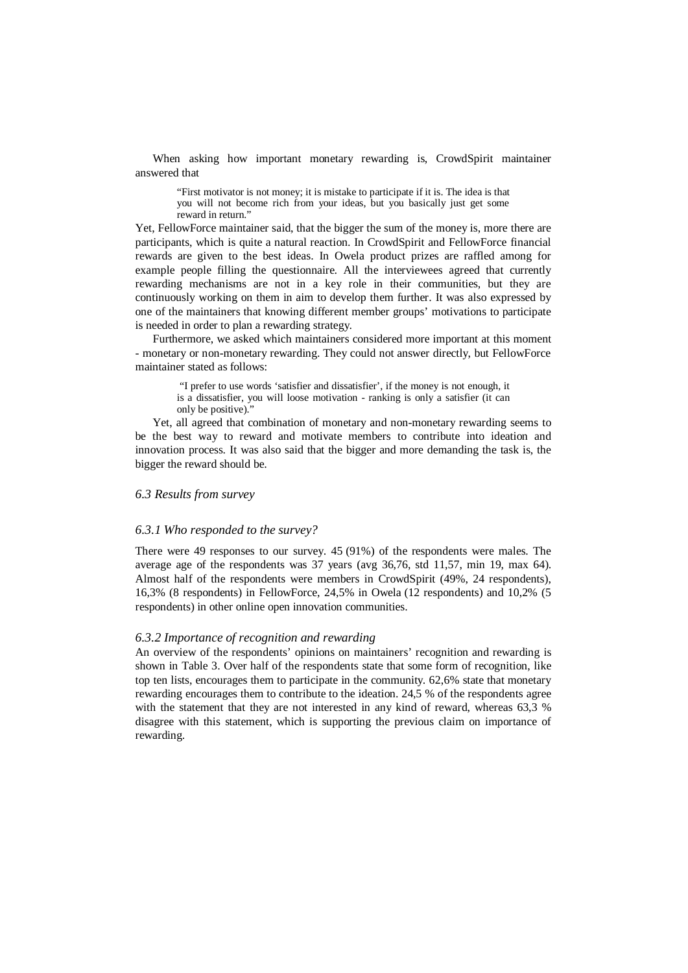When asking how important monetary rewarding is, CrowdSpirit maintainer answered that

"First motivator is not money; it is mistake to participate if it is. The idea is that you will not become rich from your ideas, but you basically just get some reward in return."

Yet, FellowForce maintainer said, that the bigger the sum of the money is, more there are participants, which is quite a natural reaction. In CrowdSpirit and FellowForce financial rewards are given to the best ideas. In Owela product prizes are raffled among for example people filling the questionnaire. All the interviewees agreed that currently rewarding mechanisms are not in a key role in their communities, but they are continuously working on them in aim to develop them further. It was also expressed by one of the maintainers that knowing different member groups' motivations to participate is needed in order to plan a rewarding strategy.

Furthermore, we asked which maintainers considered more important at this moment - monetary or non-monetary rewarding. They could not answer directly, but FellowForce maintainer stated as follows:

 "I prefer to use words 'satisfier and dissatisfier', if the money is not enough, it is a dissatisfier, you will loose motivation - ranking is only a satisfier (it can only be positive)."

Yet, all agreed that combination of monetary and non-monetary rewarding seems to be the best way to reward and motivate members to contribute into ideation and innovation process. It was also said that the bigger and more demanding the task is, the bigger the reward should be.

#### *6.3 Results from survey*

## *6.3.1 Who responded to the survey?*

There were 49 responses to our survey. 45 (91%) of the respondents were males. The average age of the respondents was 37 years (avg 36,76, std 11,57, min 19, max 64). Almost half of the respondents were members in CrowdSpirit (49%, 24 respondents), 16,3% (8 respondents) in FellowForce, 24,5% in Owela (12 respondents) and 10,2% (5 respondents) in other online open innovation communities.

## *6.3.2 Importance of recognition and rewarding*

An overview of the respondents' opinions on maintainers' recognition and rewarding is shown in Table 3. Over half of the respondents state that some form of recognition, like top ten lists, encourages them to participate in the community. 62,6% state that monetary rewarding encourages them to contribute to the ideation. 24,5 % of the respondents agree with the statement that they are not interested in any kind of reward, whereas 63,3 % disagree with this statement, which is supporting the previous claim on importance of rewarding.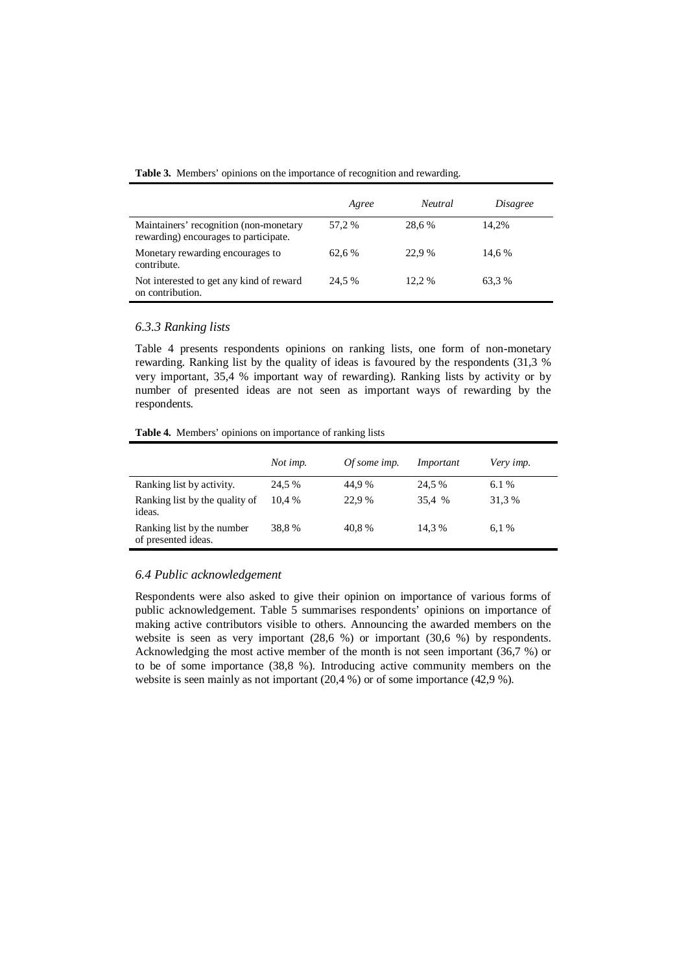|  |  |  | Table 3. Members' opinions on the importance of recognition and rewarding. |
|--|--|--|----------------------------------------------------------------------------|
|  |  |  |                                                                            |

|                                                                                 | Agree  | <b>Neutral</b> | <i>Disagree</i> |
|---------------------------------------------------------------------------------|--------|----------------|-----------------|
| Maintainers' recognition (non-monetary<br>rewarding) encourages to participate. | 57.2 % | 28.6 %         | 14.2%           |
| Monetary rewarding encourages to<br>contribute.                                 | 62.6 % | 22.9 %         | 14,6 %          |
| Not interested to get any kind of reward<br>on contribution.                    | 24.5 % | 12.2 %         | 63,3%           |

## *6.3.3 Ranking lists*

Table 4 presents respondents opinions on ranking lists, one form of non-monetary rewarding. Ranking list by the quality of ideas is favoured by the respondents (31,3 % very important, 35,4 % important way of rewarding). Ranking lists by activity or by number of presented ideas are not seen as important ways of rewarding by the respondents.

**Table 4.** Members' opinions on importance of ranking lists

|                                                   | Not imp. | Of some imp. | Important | Very imp. |
|---------------------------------------------------|----------|--------------|-----------|-----------|
| Ranking list by activity.                         | 24.5 %   | 44.9%        | 24.5 %    | 6.1%      |
| Ranking list by the quality of<br>ideas.          | 10.4 %   | 22.9 %       | 35.4 %    | 31,3%     |
| Ranking list by the number<br>of presented ideas. | 38.8%    | 40.8%        | 14.3 %    | 6.1%      |

## *6.4 Public acknowledgement*

Respondents were also asked to give their opinion on importance of various forms of public acknowledgement. Table 5 summarises respondents' opinions on importance of making active contributors visible to others. Announcing the awarded members on the website is seen as very important (28,6 %) or important (30,6 %) by respondents. Acknowledging the most active member of the month is not seen important (36,7 %) or to be of some importance (38,8 %). Introducing active community members on the website is seen mainly as not important (20,4 %) or of some importance (42,9 %).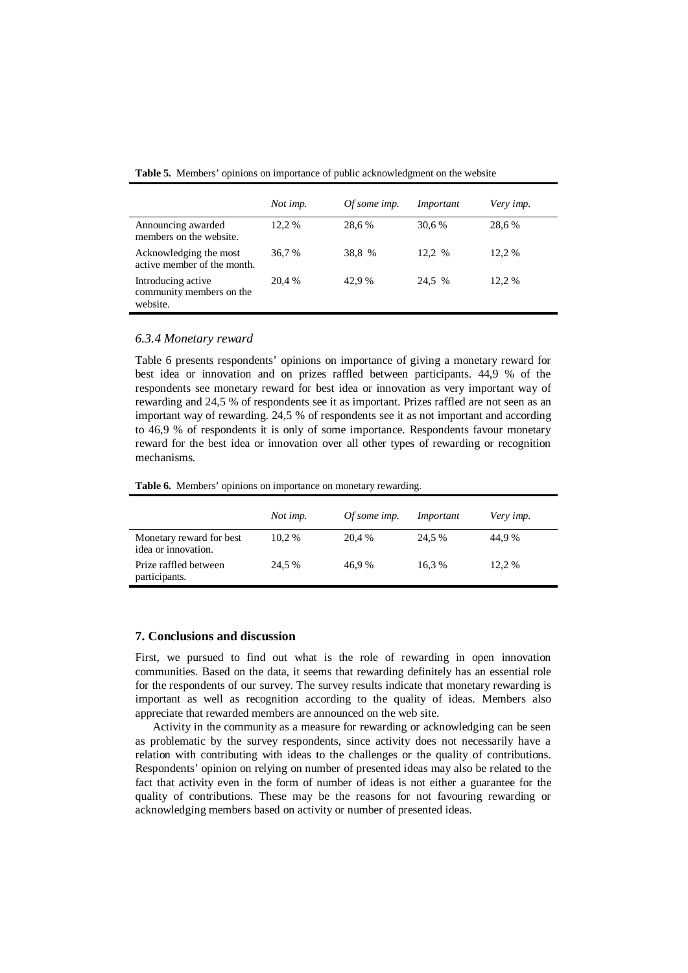**Table 5.** Members' opinions on importance of public acknowledgment on the website

|                                                            | Not imp. | Of some imp. | Important | Very imp. |
|------------------------------------------------------------|----------|--------------|-----------|-----------|
| Announcing awarded<br>members on the website.              | 12.2 %   | 28,6%        | 30,6 %    | 28,6%     |
| Acknowledging the most<br>active member of the month.      | 36.7 %   | 38,8 %       | 12.2 %    | 12.2 %    |
| Introducing active<br>community members on the<br>website. | 20.4 %   | 42,9 %       | 24,5 %    | 12,2 %    |

#### *6.3.4 Monetary reward*

Table 6 presents respondents' opinions on importance of giving a monetary reward for best idea or innovation and on prizes raffled between participants. 44,9 % of the respondents see monetary reward for best idea or innovation as very important way of rewarding and 24,5 % of respondents see it as important. Prizes raffled are not seen as an important way of rewarding. 24,5 % of respondents see it as not important and according to 46,9 % of respondents it is only of some importance. Respondents favour monetary reward for the best idea or innovation over all other types of rewarding or recognition mechanisms.

**Table 6.** Members' opinions on importance on monetary rewarding.

|                                                 | Not imp. | Of some imp. | Important | Very imp. |
|-------------------------------------------------|----------|--------------|-----------|-----------|
| Monetary reward for best<br>idea or innovation. | 10.2 %   | 20,4 %       | 24.5 %    | 44.9%     |
| Prize raffled between<br>participants.          | 24.5 %   | 46.9%        | 16.3%     | 12,2 %    |

## **7. Conclusions and discussion**

First, we pursued to find out what is the role of rewarding in open innovation communities. Based on the data, it seems that rewarding definitely has an essential role for the respondents of our survey. The survey results indicate that monetary rewarding is important as well as recognition according to the quality of ideas. Members also appreciate that rewarded members are announced on the web site.

Activity in the community as a measure for rewarding or acknowledging can be seen as problematic by the survey respondents, since activity does not necessarily have a relation with contributing with ideas to the challenges or the quality of contributions. Respondents' opinion on relying on number of presented ideas may also be related to the fact that activity even in the form of number of ideas is not either a guarantee for the quality of contributions. These may be the reasons for not favouring rewarding or acknowledging members based on activity or number of presented ideas.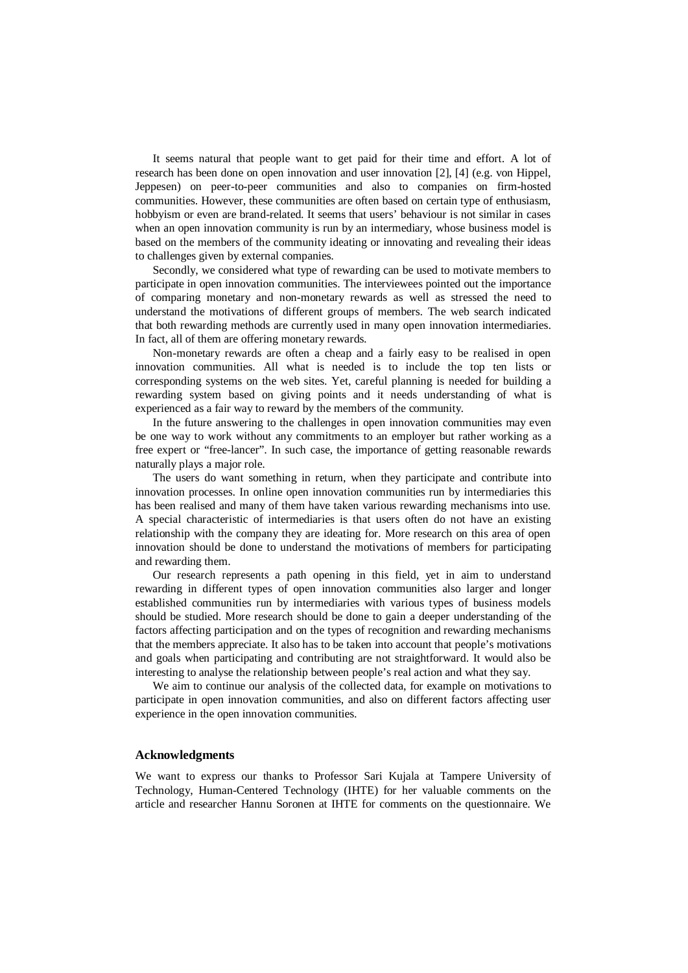It seems natural that people want to get paid for their time and effort. A lot of research has been done on open innovation and user innovation [2], [4] (e.g. von Hippel, Jeppesen) on peer-to-peer communities and also to companies on firm-hosted communities. However, these communities are often based on certain type of enthusiasm, hobbyism or even are brand-related. It seems that users' behaviour is not similar in cases when an open innovation community is run by an intermediary, whose business model is based on the members of the community ideating or innovating and revealing their ideas to challenges given by external companies.

Secondly, we considered what type of rewarding can be used to motivate members to participate in open innovation communities. The interviewees pointed out the importance of comparing monetary and non-monetary rewards as well as stressed the need to understand the motivations of different groups of members. The web search indicated that both rewarding methods are currently used in many open innovation intermediaries. In fact, all of them are offering monetary rewards.

Non-monetary rewards are often a cheap and a fairly easy to be realised in open innovation communities. All what is needed is to include the top ten lists or corresponding systems on the web sites. Yet, careful planning is needed for building a rewarding system based on giving points and it needs understanding of what is experienced as a fair way to reward by the members of the community.

In the future answering to the challenges in open innovation communities may even be one way to work without any commitments to an employer but rather working as a free expert or "free-lancer". In such case, the importance of getting reasonable rewards naturally plays a major role.

The users do want something in return, when they participate and contribute into innovation processes. In online open innovation communities run by intermediaries this has been realised and many of them have taken various rewarding mechanisms into use. A special characteristic of intermediaries is that users often do not have an existing relationship with the company they are ideating for. More research on this area of open innovation should be done to understand the motivations of members for participating and rewarding them.

Our research represents a path opening in this field, yet in aim to understand rewarding in different types of open innovation communities also larger and longer established communities run by intermediaries with various types of business models should be studied. More research should be done to gain a deeper understanding of the factors affecting participation and on the types of recognition and rewarding mechanisms that the members appreciate. It also has to be taken into account that people's motivations and goals when participating and contributing are not straightforward. It would also be interesting to analyse the relationship between people's real action and what they say.

We aim to continue our analysis of the collected data, for example on motivations to participate in open innovation communities, and also on different factors affecting user experience in the open innovation communities.

#### **Acknowledgments**

We want to express our thanks to Professor Sari Kujala at Tampere University of Technology, Human-Centered Technology (IHTE) for her valuable comments on the article and researcher Hannu Soronen at IHTE for comments on the questionnaire. We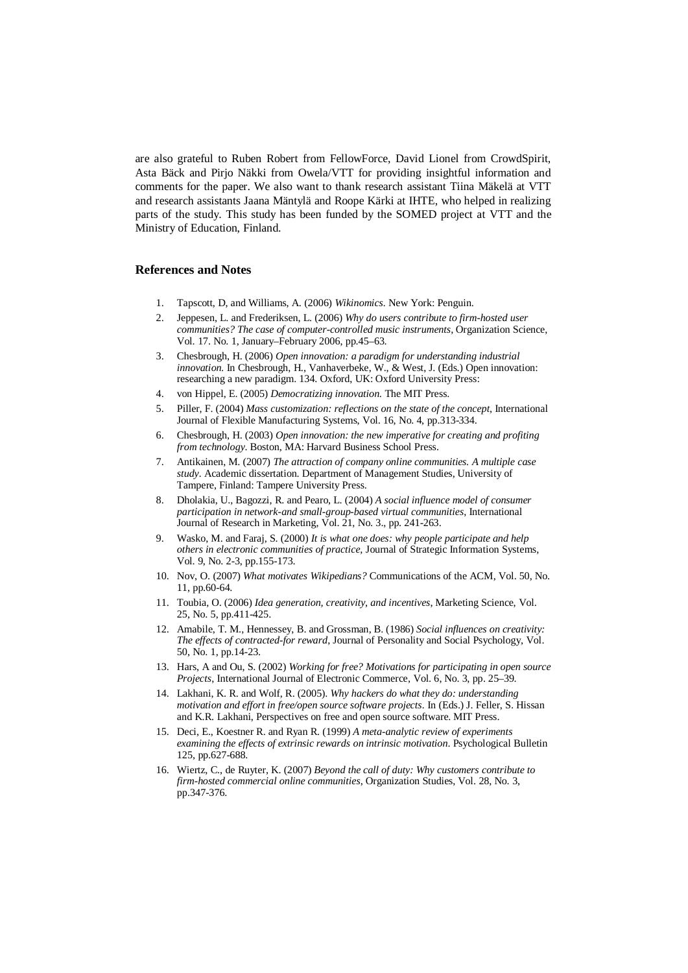are also grateful to Ruben Robert from FellowForce, David Lionel from CrowdSpirit, Asta Bäck and Pirjo Näkki from Owela/VTT for providing insightful information and comments for the paper. We also want to thank research assistant Tiina Mäkelä at VTT and research assistants Jaana Mäntylä and Roope Kärki at IHTE, who helped in realizing parts of the study. This study has been funded by the SOMED project at VTT and the Ministry of Education, Finland.

#### **References and Notes**

- 1. Tapscott, D, and Williams, A. (2006) *Wikinomics.* New York: Penguin.
- 2. Jeppesen, L. and Frederiksen, L. (2006) *Why do users contribute to firm-hosted user communities? The case of computer-controlled music instruments,* Organization Science, Vol. 17. No. 1, January–February 2006, pp.45–63.
- 3. Chesbrough, H. (2006) *Open innovation: a paradigm for understanding industrial innovation.* In Chesbrough, H., Vanhaverbeke, W., & West, J. (Eds.) Open innovation: researching a new paradigm. 134. Oxford, UK: Oxford University Press:
- 4. von Hippel, E. (2005) *Democratizing innovation*. The MIT Press.
- 5. Piller, F. (2004) *Mass customization: reflections on the state of the concept*, International Journal of Flexible Manufacturing Systems, Vol. 16, No. 4, pp.313-334.
- 6. Chesbrough, H. (2003) *Open innovation: the new imperative for creating and profiting from technology*. Boston, MA: Harvard Business School Press.
- 7. Antikainen, M. (2007) *The attraction of company online communities. A multiple case study.* Academic dissertation. Department of Management Studies, University of Tampere, Finland: Tampere University Press.
- 8. Dholakia, U., Bagozzi, R. and Pearo, L. (2004) *A social influence model of consumer participation in network-and small-group-based virtual communities*, International Journal of Research in Marketing, Vol. 21, No. 3., pp. 241-263.
- 9. Wasko, M. and Faraj, S. (2000) *It is what one does: why people participate and help others in electronic communities of practice,* Journal of Strategic Information Systems, Vol. 9, No. 2-3, pp.155-173.
- 10. Nov, O. (2007) *What motivates Wikipedians?* Communications of the ACM, Vol. 50, No. 11, pp.60-64.
- 11. Toubia, O. (2006) *Idea generation, creativity, and incentives*, Marketing Science, Vol. 25, No. 5, pp.411-425.
- 12. Amabile, T. M., Hennessey, B. and Grossman, B. (1986) *Social influences on creativity: The effects of contracted-for reward*, Journal of Personality and Social Psychology, Vol. 50, No. 1, pp.14-23.
- 13. Hars, A and Ou, S. (2002) *Working for free? Motivations for participating in open source Projects*, International Journal of Electronic Commerce, Vol. 6, No. 3, pp. 25–39.
- 14. Lakhani, K. R. and Wolf, R. (2005). *Why hackers do what they do: understanding motivation and effort in free/open source software projects.* In (Eds.) J. Feller, S. Hissan and K.R. Lakhani, Perspectives on free and open source software. MIT Press.
- 15. Deci, E., Koestner R. and Ryan R. (1999) *A meta-analytic review of experiments examining the effects of extrinsic rewards on intrinsic motivation*. Psychological Bulletin 125, pp.627-688.
- 16. Wiertz, C., de Ruyter, K. (2007) *Beyond the call of duty: Why customers contribute to firm-hosted commercial online communities*, Organization Studies, Vol. 28, No. 3, pp.347-376.